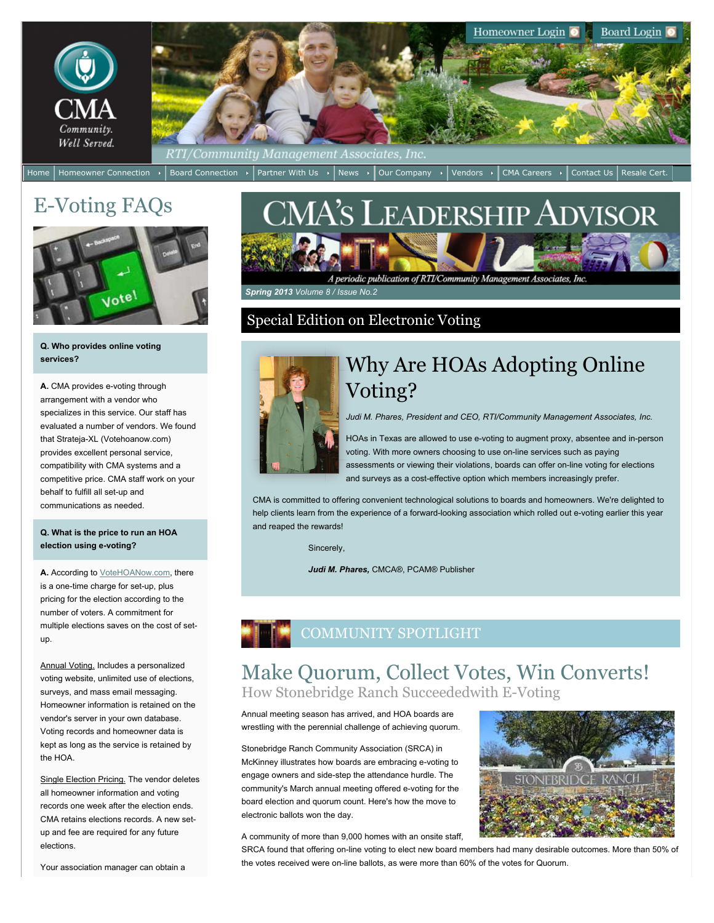

Homeowner Connection  $\cdot$  Board Connection  $\cdot$  Partner With Us  $\cdot$  News  $\cdot$  Our Company  $\cdot$  Vendors  $\cdot$  CMA Careers  $\cdot$  Contact Us Resale Cert.

# E-Voting FAQs



#### **Q. Who provides online voting services?**

**A.** CMA provides e-voting through arrangement with a vendor who specializes in this service. Our staff has evaluated a number of vendors. We found that Strateja-XL (Votehoanow.com) provides excellent personal service, compatibility with CMA systems and a competitive price. CMA staff work on your behalf to fulfill all set-up and communications as needed.

#### **Q. What is the price to run an HOA election using e-voting?**

**A.** According to [VoteHOANow.com,](http://votehoanow.com/) there is a one-time charge for set-up, plus pricing for the election according to the number of voters. A commitment for multiple elections saves on the cost of setup.

Annual Voting. Includes a personalized voting website, unlimited use of elections, surveys, and mass email messaging. Homeowner information is retained on the vendor's server in your own database. Voting records and homeowner data is kept as long as the service is retained by the HOA.

Single Election Pricing. The vendor deletes all homeowner information and voting records one week after the election ends. CMA retains elections records. A new setup and fee are required for any future elections.

Your association manager can obtain a

# CMA's Leadership Advisor

A periodic publication of RTI/Community Management Associates, Inc.

 *Spring 2013 Volume 8 / Issue No.2*

#### Special Edition on Electronic Voting



## Why Are HOAs Adopting Online Voting?

*Judi M. Phares, President and CEO, RTI/Community Management Associates, Inc.*

HOAs in Texas are allowed to use e-voting to augment proxy, absentee and in-person voting. With more owners choosing to use on-line services such as paying assessments or viewing their violations, boards can offer on-line voting for elections and surveys as a cost-effective option which members increasingly prefer.

CMA is committed to offering convenient technological solutions to boards and homeowners. We're delighted to help clients learn from the experience of a forward-looking association which rolled out e-voting earlier this year and reaped the rewards!

Sincerely,

*Judi M. Phares,* CMCA®, PCAM® Publisher



## Make Quorum, Collect Votes, Win Converts! How Stonebridge Ranch Succeededwith E-Voting

Annual meeting season has arrived, and HOA boards are wrestling with the perennial challenge of achieving quorum.

Stonebridge Ranch Community Association (SRCA) in McKinney illustrates how boards are embracing e-voting to engage owners and side-step the attendance hurdle. The community's March annual meeting offered e-voting for the board election and quorum count. Here's how the move to electronic ballots won the day.

A community of more than 9,000 homes with an onsite staff,

SRCA found that offering on-line voting to elect new board members had many desirable outcomes. More than 50% of the votes received were on-line ballots, as were more than 60% of the votes for Quorum.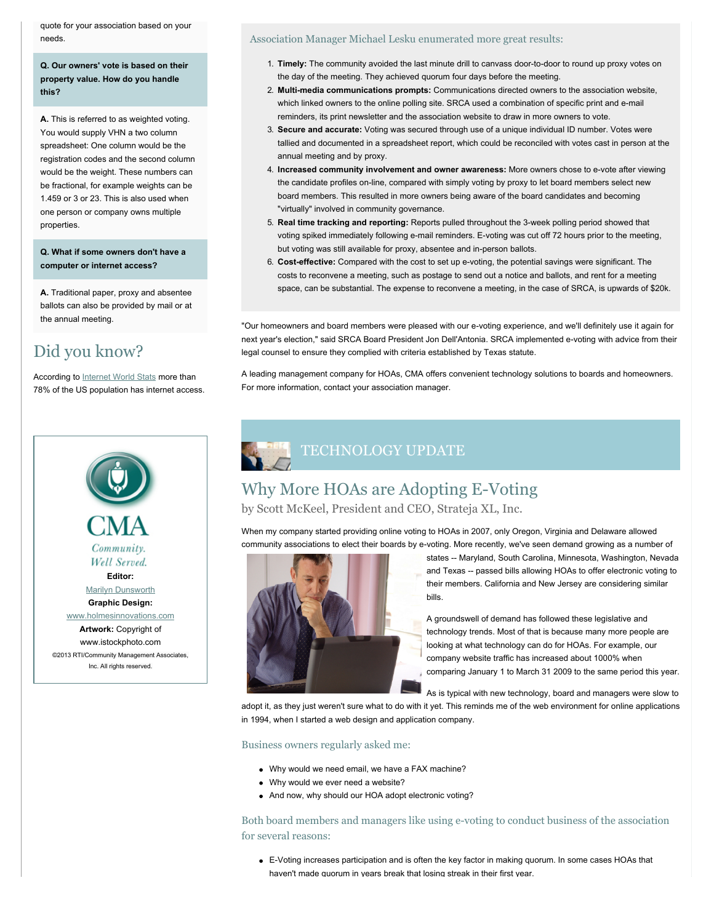quote for your association based on your needs.

**Q. Our owners' vote is based on their property value. How do you handle this?**

**A.** This is referred to as weighted voting. You would supply VHN a two column spreadsheet: One column would be the registration codes and the second column would be the weight. These numbers can be fractional, for example weights can be 1.459 or 3 or 23. This is also used when one person or company owns multiple properties.

**Q. What if some owners don't have a computer or internet access?**

**A.** Traditional paper, proxy and absentee ballots can also be provided by mail or at the annual meeting.

## Did you know?

According to [Internet World Stats](http://www.internetworldstats.com/top20.htm) more than 78% of the US population has internet access.



©2013 RTI/Community Management Associates, Inc. All rights reserved.

#### Association Manager Michael Lesku enumerated more great results:

- 1. **Timely:** The community avoided the last minute drill to canvass door-to-door to round up proxy votes on the day of the meeting. They achieved quorum four days before the meeting.
- 2. **Multi-media communications prompts:** Communications directed owners to the association website, which linked owners to the online polling site. SRCA used a combination of specific print and e-mail reminders, its print newsletter and the association website to draw in more owners to vote.
- 3. **Secure and accurate:** Voting was secured through use of a unique individual ID number. Votes were tallied and documented in a spreadsheet report, which could be reconciled with votes cast in person at the annual meeting and by proxy.
- 4. **Increased community involvement and owner awareness:** More owners chose to e-vote after viewing the candidate profiles on-line, compared with simply voting by proxy to let board members select new board members. This resulted in more owners being aware of the board candidates and becoming "virtually" involved in community governance.
- 5. **Real time tracking and reporting:** Reports pulled throughout the 3-week polling period showed that voting spiked immediately following e-mail reminders. E-voting was cut off 72 hours prior to the meeting, but voting was still available for proxy, absentee and in-person ballots.
- 6. **Cost-effective:** Compared with the cost to set up e-voting, the potential savings were significant. The costs to reconvene a meeting, such as postage to send out a notice and ballots, and rent for a meeting space, can be substantial. The expense to reconvene a meeting, in the case of SRCA, is upwards of \$20k.

"Our homeowners and board members were pleased with our e-voting experience, and we'll definitely use it again for next year's election," said SRCA Board President Jon Dell'Antonia. SRCA implemented e-voting with advice from their legal counsel to ensure they complied with criteria established by Texas statute.

A leading management company for HOAs, CMA offers convenient technology solutions to boards and homeowners. For more information, contact your association manager.

# TECHNOLOGY UPDATE

## Why More HOAs are Adopting E-Voting

by Scott McKeel, President and CEO, Strateja XL, Inc.

When my company started providing online voting to HOAs in 2007, only Oregon, Virginia and Delaware allowed community associations to elect their boards by e-voting. More recently, we've seen demand growing as a number of



states -- Maryland, South Carolina, Minnesota, Washington, Nevada and Texas -- passed bills allowing HOAs to offer electronic voting to their members. California and New Jersey are considering similar bills.

A groundswell of demand has followed these legislative and technology trends. Most of that is because many more people are looking at what technology can do for HOAs. For example, our company website traffic has increased about 1000% when comparing January 1 to March 31 2009 to the same period this year.

As is typical with new technology, board and managers were slow to

adopt it, as they just weren't sure what to do with it yet. This reminds me of the web environment for online applications in 1994, when I started a web design and application company.

Business owners regularly asked me:

- Why would we need email, we have a FAX machine?
- Why would we ever need a website?
- And now, why should our HOA adopt electronic voting?

Both board members and managers like using e-voting to conduct business of the association for several reasons:

E-Voting increases participation and is often the key factor in making quorum. In some cases HOAs that haven't made quorum in years break that losing streak in their first year.